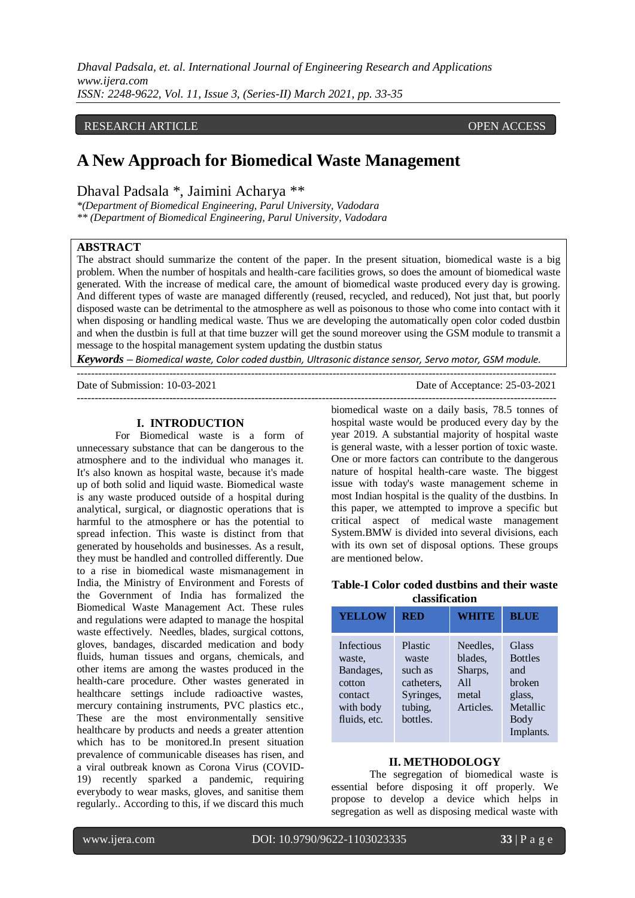*Dhaval Padsala, et. al. International Journal of Engineering Research and Applications www.ijera.com ISSN: 2248-9622, Vol. 11, Issue 3, (Series-II) March 2021, pp. 33-35*

## RESEARCH ARTICLE **CONSERVERS** OPEN ACCESS

# **A New Approach for Biomedical Waste Management**

Dhaval Padsala \*, Jaimini Acharya \*\*

*\*(Department of Biomedical Engineering, Parul University, Vadodara \*\* (Department of Biomedical Engineering, Parul University, Vadodara*

# **ABSTRACT**

The abstract should summarize the content of the paper. In the present situation, biomedical waste is a big problem. When the number of hospitals and health-care facilities grows, so does the amount of biomedical waste generated. With the increase of medical care, the amount of biomedical waste produced every day is growing. And different types of waste are managed differently (reused, recycled, and reduced), Not just that, but poorly disposed waste can be detrimental to the atmosphere as well as poisonous to those who come into contact with it when disposing or handling medical waste. Thus we are developing the automatically open color coded dustbin and when the dustbin is full at that time buzzer will get the sound moreover using the GSM module to transmit a message to the hospital management system updating the dustbin status

*Keywords* **–** *Biomedical waste, Color coded dustbin, Ultrasonic distance sensor, Servo motor, GSM module.*

Date of Submission: 10-03-2021 Date of Acceptance: 25-03-2021

---------------------------------------------------------------------------------------------------------------------------------------

#### **I. INTRODUCTION**

For Biomedical waste is a form of unnecessary substance that can be dangerous to the atmosphere and to the individual who manages it. It's also known as hospital waste, because it's made up of both solid and liquid waste. Biomedical waste is any waste produced outside of a hospital during analytical, surgical, or diagnostic operations that is harmful to the atmosphere or has the potential to spread infection. This waste is distinct from that generated by households and businesses. As a result, they must be handled and controlled differently. Due to a rise in biomedical waste mismanagement in India, the Ministry of Environment and Forests of the Government of India has formalized the Biomedical Waste Management Act. These rules and regulations were adapted to manage the hospital waste effectively. Needles, blades, surgical cottons, gloves, bandages, discarded medication and body fluids, human tissues and organs, chemicals, and other items are among the wastes produced in the health-care procedure. Other wastes generated in healthcare settings include radioactive wastes, mercury containing instruments, PVC plastics etc., These are the most environmentally sensitive healthcare by products and needs a greater attention which has to be monitored.In present situation prevalence of communicable diseases has risen, and a viral outbreak known as Corona Virus (COVID-19) recently sparked a pandemic, requiring everybody to wear masks, gloves, and sanitise them regularly.. According to this, if we discard this much

biomedical waste on a daily basis, 78.5 tonnes of hospital waste would be produced every day by the year 2019. A substantial majority of hospital waste is general waste, with a lesser portion of toxic waste. One or more factors can contribute to the dangerous nature of hospital health-care waste. The biggest issue with today's waste management scheme in most Indian hospital is the quality of the dustbins. In this paper, we attempted to improve a specific but critical aspect of medical waste management System.BMW is divided into several divisions, each with its own set of disposal options. These groups are mentioned below.

# **Table-I Color coded dustbins and their waste classification**

| <b>YELLOW</b>                                                                       | <b>RED</b>                                                                    | <b>WHITE</b>                                                | <b>BLUE</b>                                                                         |
|-------------------------------------------------------------------------------------|-------------------------------------------------------------------------------|-------------------------------------------------------------|-------------------------------------------------------------------------------------|
| Infectious<br>waste,<br>Bandages,<br>cotton<br>contact<br>with body<br>fluids, etc. | Plastic<br>waste<br>such as<br>catheters.<br>Syringes,<br>tubing,<br>bottles. | Needles.<br>blades.<br>Sharps,<br>A11<br>metal<br>Articles. | Glass<br><b>Bottles</b><br>and<br>broken<br>glass,<br>Metallic<br>Body<br>Implants. |

## **II. METHODOLOGY**

The segregation of biomedical waste is essential before disposing it off properly. We propose to develop a device which helps in segregation as well as disposing medical waste with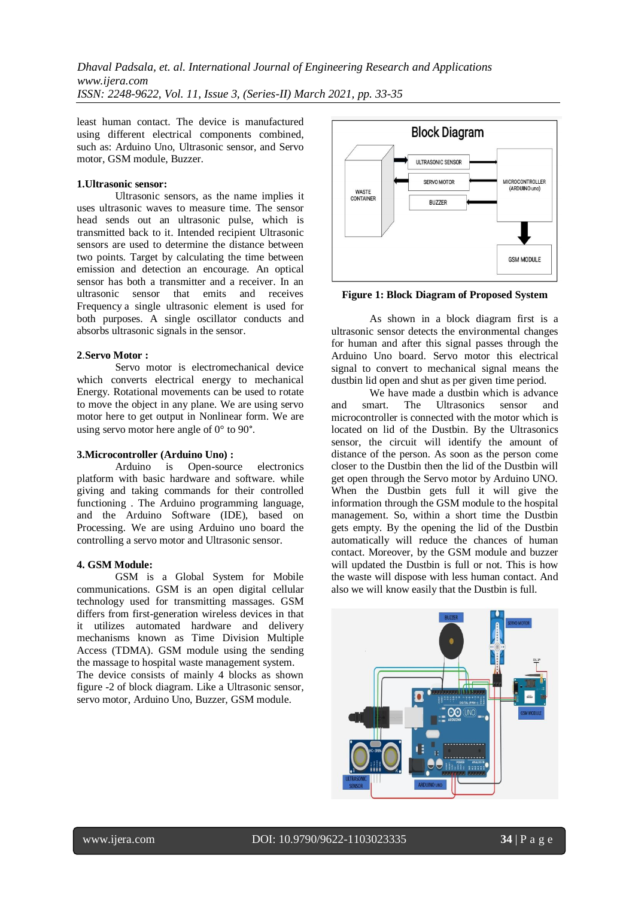*Dhaval Padsala, et. al. International Journal of Engineering Research and Applications www.ijera.com ISSN: 2248-9622, Vol. 11, Issue 3, (Series-II) March 2021, pp. 33-35*

least human contact. The device is manufactured using different electrical components combined, such as: Arduino Uno, Ultrasonic sensor, and Servo motor, GSM module, Buzzer.

## **1.Ultrasonic sensor:**

Ultrasonic sensors, as the name implies it uses ultrasonic waves to measure time. The sensor head sends out an ultrasonic pulse, which is transmitted back to it. Intended recipient Ultrasonic sensors are used to determine the distance between two points. Target by calculating the time between emission and detection an encourage. An optical sensor has both a transmitter and a receiver. In an ultrasonic sensor that emits and receives Frequency a single ultrasonic element is used for both purposes. A single oscillator conducts and absorbs ultrasonic signals in the sensor.

## **2**.**Servo Motor :**

Servo motor is electromechanical device which converts electrical energy to mechanical Energy. Rotational movements can be used to rotate to move the object in any plane. We are using servo motor here to get output in Nonlinear form. We are using servo motor here angle of 0° to 90°.

#### **3.Microcontroller (Arduino Uno) :**

Arduino is Open-source electronics platform with basic hardware and software. while giving and taking commands for their controlled functioning . The Arduino programming language, and the Arduino Software (IDE), based on Processing. We are using Arduino uno board the controlling a servo motor and Ultrasonic sensor.

## **4. GSM Module:**

GSM is a Global System for Mobile communications. GSM is an open digital cellular technology used for transmitting massages. GSM differs from first-generation wireless devices in that it utilizes automated hardware and delivery mechanisms known as Time Division Multiple Access (TDMA). GSM module using the sending the massage to hospital waste management system. The device consists of mainly 4 blocks as shown figure -2 of block diagram. Like a Ultrasonic sensor, servo motor, Arduino Uno, Buzzer, GSM module.



**Figure 1: Block Diagram of Proposed System**

As shown in a block diagram first is a ultrasonic sensor detects the environmental changes for human and after this signal passes through the Arduino Uno board. Servo motor this electrical signal to convert to mechanical signal means the dustbin lid open and shut as per given time period.

We have made a dustbin which is advance and smart. The Ultrasonics sensor and microcontroller is connected with the motor which is located on lid of the Dustbin. By the Ultrasonics sensor, the circuit will identify the amount of distance of the person. As soon as the person come closer to the Dustbin then the lid of the Dustbin will get open through the Servo motor by Arduino UNO. When the Dustbin gets full it will give the information through the GSM module to the hospital management. So, within a short time the Dustbin gets empty. By the opening the lid of the Dustbin automatically will reduce the chances of human contact. Moreover, by the GSM module and buzzer will updated the Dustbin is full or not. This is how the waste will dispose with less human contact. And also we will know easily that the Dustbin is full.